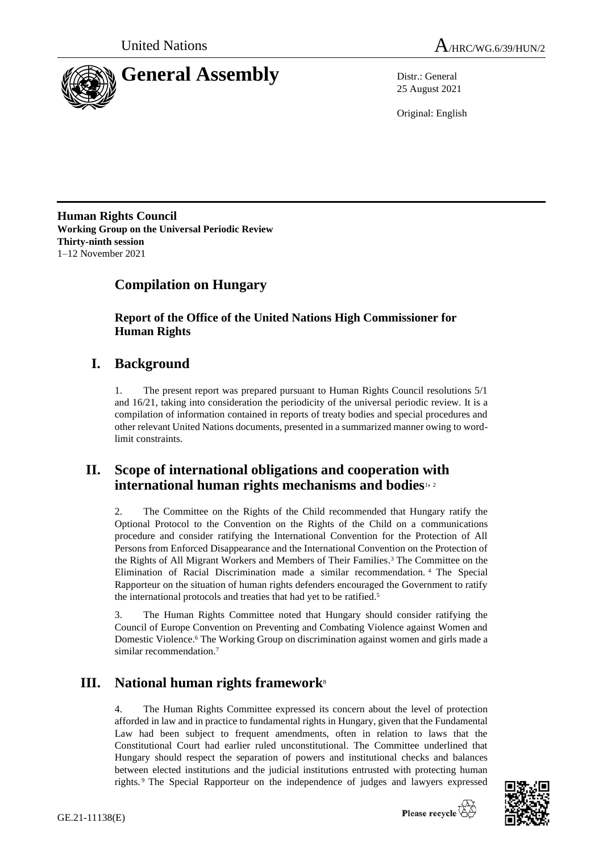



25 August 2021

Original: English

**Human Rights Council Working Group on the Universal Periodic Review Thirty-ninth session** 1–12 November 2021

# **Compilation on Hungary**

**Report of the Office of the United Nations High Commissioner for Human Rights**

## **I. Background**

1. The present report was prepared pursuant to Human Rights Council resolutions 5/1 and 16/21, taking into consideration the periodicity of the universal periodic review. It is a compilation of information contained in reports of treaty bodies and special procedures and other relevant United Nations documents, presented in a summarized manner owing to wordlimit constraints.

## **II. Scope of international obligations and cooperation with international human rights mechanisms and bodies**1, <sup>2</sup>

2. The Committee on the Rights of the Child recommended that Hungary ratify the Optional Protocol to the Convention on the Rights of the Child on a communications procedure and consider ratifying the International Convention for the Protection of All Persons from Enforced Disappearance and the International Convention on the Protection of the Rights of All Migrant Workers and Members of Their Families. <sup>3</sup> The Committee on the Elimination of Racial Discrimination made a similar recommendation. <sup>4</sup> The Special Rapporteur on the situation of human rights defenders encouraged the Government to ratify the international protocols and treaties that had yet to be ratified.<sup>5</sup>

3. The Human Rights Committee noted that Hungary should consider ratifying the Council of Europe Convention on Preventing and Combating Violence against Women and Domestic Violence.<sup>6</sup> The Working Group on discrimination against women and girls made a similar recommendation<sup>7</sup>

# **III. National human rights framework**<sup>8</sup>

4. The Human Rights Committee expressed its concern about the level of protection afforded in law and in practice to fundamental rights in Hungary, given that the Fundamental Law had been subject to frequent amendments, often in relation to laws that the Constitutional Court had earlier ruled unconstitutional. The Committee underlined that Hungary should respect the separation of powers and institutional checks and balances between elected institutions and the judicial institutions entrusted with protecting human rights. <sup>9</sup> The Special Rapporteur on the independence of judges and lawyers expressed

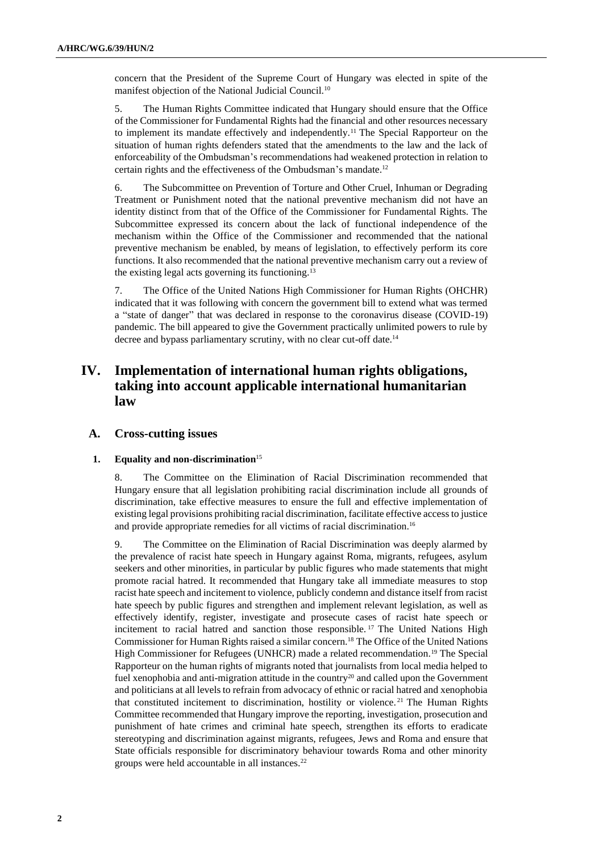concern that the President of the Supreme Court of Hungary was elected in spite of the manifest objection of the National Judicial Council.<sup>10</sup>

5. The Human Rights Committee indicated that Hungary should ensure that the Office of the Commissioner for Fundamental Rights had the financial and other resources necessary to implement its mandate effectively and independently.<sup>11</sup> The Special Rapporteur on the situation of human rights defenders stated that the amendments to the law and the lack of enforceability of the Ombudsman's recommendations had weakened protection in relation to certain rights and the effectiveness of the Ombudsman's mandate.<sup>12</sup>

6. The Subcommittee on Prevention of Torture and Other Cruel, Inhuman or Degrading Treatment or Punishment noted that the national preventive mechanism did not have an identity distinct from that of the Office of the Commissioner for Fundamental Rights. The Subcommittee expressed its concern about the lack of functional independence of the mechanism within the Office of the Commissioner and recommended that the national preventive mechanism be enabled, by means of legislation, to effectively perform its core functions. It also recommended that the national preventive mechanism carry out a review of the existing legal acts governing its functioning.<sup>13</sup>

7. The Office of the United Nations High Commissioner for Human Rights (OHCHR) indicated that it was following with concern the government bill to extend what was termed a "state of danger" that was declared in response to the coronavirus disease (COVID-19) pandemic. The bill appeared to give the Government practically unlimited powers to rule by decree and bypass parliamentary scrutiny, with no clear cut-off date.<sup>14</sup>

## **IV. Implementation of international human rights obligations, taking into account applicable international humanitarian law**

## **A. Cross-cutting issues**

### **1. Equality and non-discrimination**<sup>15</sup>

8. The Committee on the Elimination of Racial Discrimination recommended that Hungary ensure that all legislation prohibiting racial discrimination include all grounds of discrimination, take effective measures to ensure the full and effective implementation of existing legal provisions prohibiting racial discrimination, facilitate effective access to justice and provide appropriate remedies for all victims of racial discrimination.<sup>16</sup>

9. The Committee on the Elimination of Racial Discrimination was deeply alarmed by the prevalence of racist hate speech in Hungary against Roma, migrants, refugees, asylum seekers and other minorities, in particular by public figures who made statements that might promote racial hatred. It recommended that Hungary take all immediate measures to stop racist hate speech and incitement to violence, publicly condemn and distance itself from racist hate speech by public figures and strengthen and implement relevant legislation, as well as effectively identify, register, investigate and prosecute cases of racist hate speech or incitement to racial hatred and sanction those responsible. <sup>17</sup> The United Nations High Commissioner for Human Rights raised a similar concern.<sup>18</sup> The Office of the United Nations High Commissioner for Refugees (UNHCR) made a related recommendation.<sup>19</sup> The Special Rapporteur on the human rights of migrants noted that journalists from local media helped to fuel xenophobia and anti-migration attitude in the country $2<sup>0</sup>$  and called upon the Government and politicians at all levels to refrain from advocacy of ethnic or racial hatred and xenophobia that constituted incitement to discrimination, hostility or violence.<sup>21</sup> The Human Rights Committee recommended that Hungary improve the reporting, investigation, prosecution and punishment of hate crimes and criminal hate speech, strengthen its efforts to eradicate stereotyping and discrimination against migrants, refugees, Jews and Roma and ensure that State officials responsible for discriminatory behaviour towards Roma and other minority groups were held accountable in all instances.22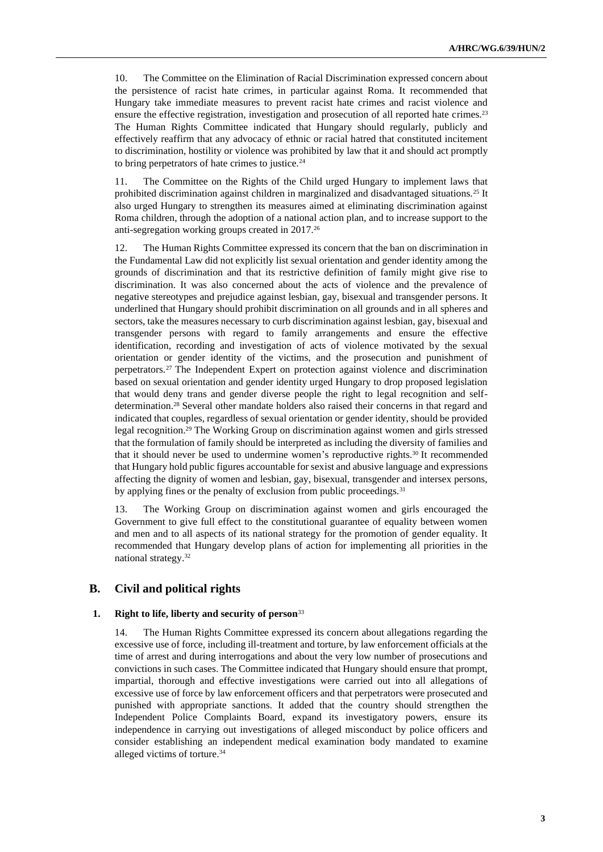10. The Committee on the Elimination of Racial Discrimination expressed concern about the persistence of racist hate crimes, in particular against Roma. It recommended that Hungary take immediate measures to prevent racist hate crimes and racist violence and ensure the effective registration, investigation and prosecution of all reported hate crimes.<sup>23</sup> The Human Rights Committee indicated that Hungary should regularly, publicly and effectively reaffirm that any advocacy of ethnic or racial hatred that constituted incitement to discrimination, hostility or violence was prohibited by law that it and should act promptly to bring perpetrators of hate crimes to justice.<sup>24</sup>

11. The Committee on the Rights of the Child urged Hungary to implement laws that prohibited discrimination against children in marginalized and disadvantaged situations.<sup>25</sup> It also urged Hungary to strengthen its measures aimed at eliminating discrimination against Roma children, through the adoption of a national action plan, and to increase support to the anti-segregation working groups created in 2017.<sup>26</sup>

12. The Human Rights Committee expressed its concern that the ban on discrimination in the Fundamental Law did not explicitly list sexual orientation and gender identity among the grounds of discrimination and that its restrictive definition of family might give rise to discrimination. It was also concerned about the acts of violence and the prevalence of negative stereotypes and prejudice against lesbian, gay, bisexual and transgender persons. It underlined that Hungary should prohibit discrimination on all grounds and in all spheres and sectors, take the measures necessary to curb discrimination against lesbian, gay, bisexual and transgender persons with regard to family arrangements and ensure the effective identification, recording and investigation of acts of violence motivated by the sexual orientation or gender identity of the victims, and the prosecution and punishment of perpetrators.<sup>27</sup> The Independent Expert on protection against violence and discrimination based on sexual orientation and gender identity urged Hungary to drop proposed legislation that would deny trans and gender diverse people the right to legal recognition and selfdetermination.<sup>28</sup> Several other mandate holders also raised their concerns in that regard and indicated that couples, regardless of sexual orientation or gender identity, should be provided legal recognition.<sup>29</sup> The Working Group on discrimination against women and girls stressed that the formulation of family should be interpreted as including the diversity of families and that it should never be used to undermine women's reproductive rights.<sup>30</sup> It recommended that Hungary hold public figures accountable for sexist and abusive language and expressions affecting the dignity of women and lesbian, gay, bisexual, transgender and intersex persons, by applying fines or the penalty of exclusion from public proceedings.<sup>31</sup>

13. The Working Group on discrimination against women and girls encouraged the Government to give full effect to the constitutional guarantee of equality between women and men and to all aspects of its national strategy for the promotion of gender equality. It recommended that Hungary develop plans of action for implementing all priorities in the national strategy.<sup>32</sup>

## **B. Civil and political rights**

## **1. Right to life, liberty and security of person**<sup>33</sup>

14. The Human Rights Committee expressed its concern about allegations regarding the excessive use of force, including ill-treatment and torture, by law enforcement officials at the time of arrest and during interrogations and about the very low number of prosecutions and convictions in such cases. The Committee indicated that Hungary should ensure that prompt, impartial, thorough and effective investigations were carried out into all allegations of excessive use of force by law enforcement officers and that perpetrators were prosecuted and punished with appropriate sanctions. It added that the country should strengthen the Independent Police Complaints Board, expand its investigatory powers, ensure its independence in carrying out investigations of alleged misconduct by police officers and consider establishing an independent medical examination body mandated to examine alleged victims of torture.34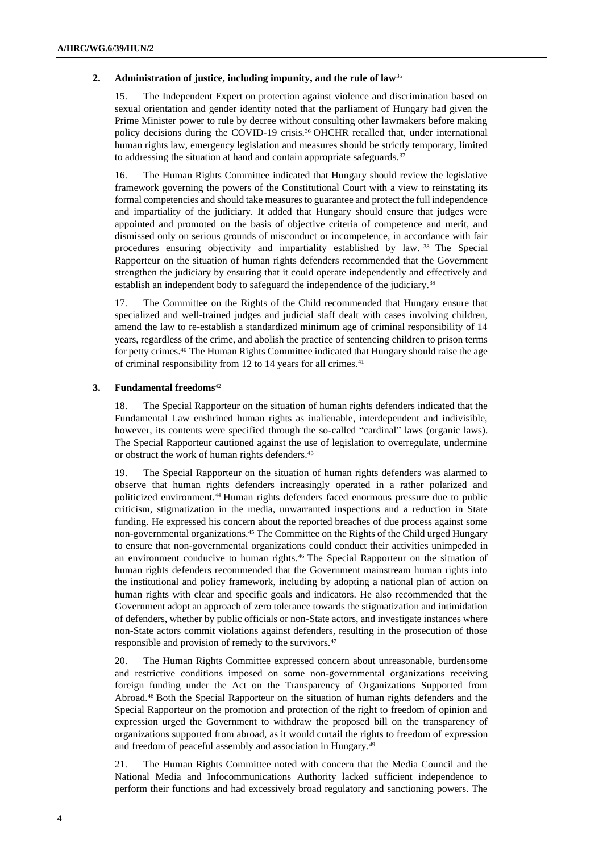#### **2. Administration of justice, including impunity, and the rule of law**<sup>35</sup>

15. The Independent Expert on protection against violence and discrimination based on sexual orientation and gender identity noted that the parliament of Hungary had given the Prime Minister power to rule by decree without consulting other lawmakers before making policy decisions during the COVID-19 crisis.<sup>36</sup> OHCHR recalled that, under international human rights law, emergency legislation and measures should be strictly temporary, limited to addressing the situation at hand and contain appropriate safeguards.<sup>37</sup>

16. The Human Rights Committee indicated that Hungary should review the legislative framework governing the powers of the Constitutional Court with a view to reinstating its formal competencies and should take measures to guarantee and protect the full independence and impartiality of the judiciary. It added that Hungary should ensure that judges were appointed and promoted on the basis of objective criteria of competence and merit, and dismissed only on serious grounds of misconduct or incompetence, in accordance with fair procedures ensuring objectivity and impartiality established by law. <sup>38</sup> The Special Rapporteur on the situation of human rights defenders recommended that the Government strengthen the judiciary by ensuring that it could operate independently and effectively and establish an independent body to safeguard the independence of the judiciary.<sup>39</sup>

17. The Committee on the Rights of the Child recommended that Hungary ensure that specialized and well-trained judges and judicial staff dealt with cases involving children, amend the law to re-establish a standardized minimum age of criminal responsibility of 14 years, regardless of the crime, and abolish the practice of sentencing children to prison terms for petty crimes.<sup>40</sup> The Human Rights Committee indicated that Hungary should raise the age of criminal responsibility from 12 to 14 years for all crimes.<sup>41</sup>

#### **3. Fundamental freedoms**<sup>42</sup>

18. The Special Rapporteur on the situation of human rights defenders indicated that the Fundamental Law enshrined human rights as inalienable, interdependent and indivisible, however, its contents were specified through the so-called "cardinal" laws (organic laws). The Special Rapporteur cautioned against the use of legislation to overregulate, undermine or obstruct the work of human rights defenders.<sup>43</sup>

19. The Special Rapporteur on the situation of human rights defenders was alarmed to observe that human rights defenders increasingly operated in a rather polarized and politicized environment.<sup>44</sup> Human rights defenders faced enormous pressure due to public criticism, stigmatization in the media, unwarranted inspections and a reduction in State funding. He expressed his concern about the reported breaches of due process against some non-governmental organizations.<sup>45</sup> The Committee on the Rights of the Child urged Hungary to ensure that non-governmental organizations could conduct their activities unimpeded in an environment conducive to human rights.<sup>46</sup> The Special Rapporteur on the situation of human rights defenders recommended that the Government mainstream human rights into the institutional and policy framework, including by adopting a national plan of action on human rights with clear and specific goals and indicators. He also recommended that the Government adopt an approach of zero tolerance towards the stigmatization and intimidation of defenders, whether by public officials or non-State actors, and investigate instances where non-State actors commit violations against defenders, resulting in the prosecution of those responsible and provision of remedy to the survivors.<sup>47</sup>

20. The Human Rights Committee expressed concern about unreasonable, burdensome and restrictive conditions imposed on some non-governmental organizations receiving foreign funding under the Act on the Transparency of Organizations Supported from Abroad.<sup>48</sup> Both the Special Rapporteur on the situation of human rights defenders and the Special Rapporteur on the promotion and protection of the right to freedom of opinion and expression urged the Government to withdraw the proposed bill on the transparency of organizations supported from abroad, as it would curtail the rights to freedom of expression and freedom of peaceful assembly and association in Hungary.<sup>49</sup>

21. The Human Rights Committee noted with concern that the Media Council and the National Media and Infocommunications Authority lacked sufficient independence to perform their functions and had excessively broad regulatory and sanctioning powers. The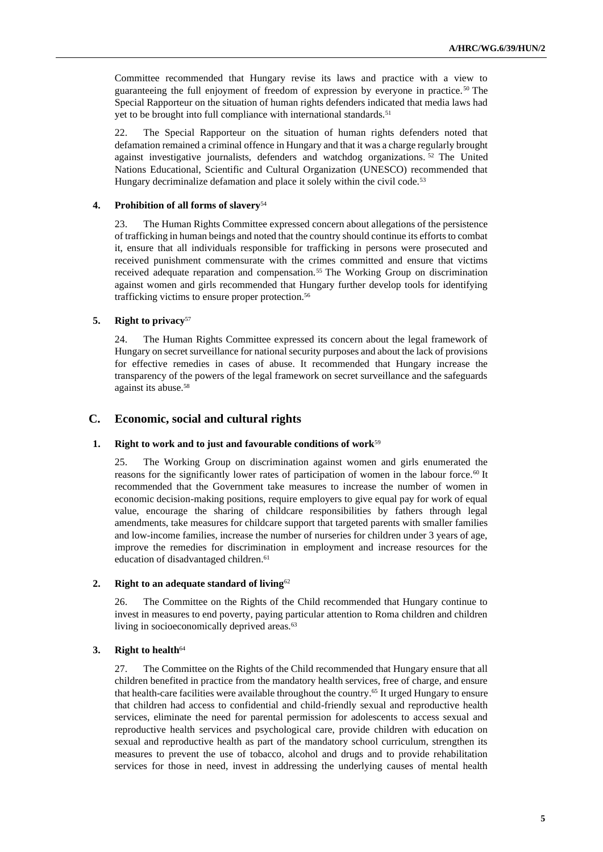Committee recommended that Hungary revise its laws and practice with a view to guaranteeing the full enjoyment of freedom of expression by everyone in practice.<sup>50</sup> The Special Rapporteur on the situation of human rights defenders indicated that media laws had yet to be brought into full compliance with international standards.<sup>51</sup>

22. The Special Rapporteur on the situation of human rights defenders noted that defamation remained a criminal offence in Hungary and that it was a charge regularly brought against investigative journalists, defenders and watchdog organizations. <sup>52</sup> The United Nations Educational, Scientific and Cultural Organization (UNESCO) recommended that Hungary decriminalize defamation and place it solely within the civil code.<sup>53</sup>

#### **4. Prohibition of all forms of slavery**<sup>54</sup>

23. The Human Rights Committee expressed concern about allegations of the persistence of trafficking in human beings and noted that the country should continue its efforts to combat it, ensure that all individuals responsible for trafficking in persons were prosecuted and received punishment commensurate with the crimes committed and ensure that victims received adequate reparation and compensation.<sup>55</sup> The Working Group on discrimination against women and girls recommended that Hungary further develop tools for identifying trafficking victims to ensure proper protection.<sup>56</sup>

#### **5. Right to privacy**<sup>57</sup>

24. The Human Rights Committee expressed its concern about the legal framework of Hungary on secret surveillance for national security purposes and about the lack of provisions for effective remedies in cases of abuse. It recommended that Hungary increase the transparency of the powers of the legal framework on secret surveillance and the safeguards against its abuse.<sup>58</sup>

## **C. Economic, social and cultural rights**

#### **1. Right to work and to just and favourable conditions of work**<sup>59</sup>

25. The Working Group on discrimination against women and girls enumerated the reasons for the significantly lower rates of participation of women in the labour force.<sup>60</sup> It recommended that the Government take measures to increase the number of women in economic decision-making positions, require employers to give equal pay for work of equal value, encourage the sharing of childcare responsibilities by fathers through legal amendments, take measures for childcare support that targeted parents with smaller families and low-income families, increase the number of nurseries for children under 3 years of age, improve the remedies for discrimination in employment and increase resources for the education of disadvantaged children.<sup>61</sup>

#### **2. Right to an adequate standard of living**<sup>62</sup>

26. The Committee on the Rights of the Child recommended that Hungary continue to invest in measures to end poverty, paying particular attention to Roma children and children living in socioeconomically deprived areas.<sup>63</sup>

#### **3. Right to health**<sup>64</sup>

27. The Committee on the Rights of the Child recommended that Hungary ensure that all children benefited in practice from the mandatory health services, free of charge, and ensure that health-care facilities were available throughout the country.<sup>65</sup> It urged Hungary to ensure that children had access to confidential and child-friendly sexual and reproductive health services, eliminate the need for parental permission for adolescents to access sexual and reproductive health services and psychological care, provide children with education on sexual and reproductive health as part of the mandatory school curriculum, strengthen its measures to prevent the use of tobacco, alcohol and drugs and to provide rehabilitation services for those in need, invest in addressing the underlying causes of mental health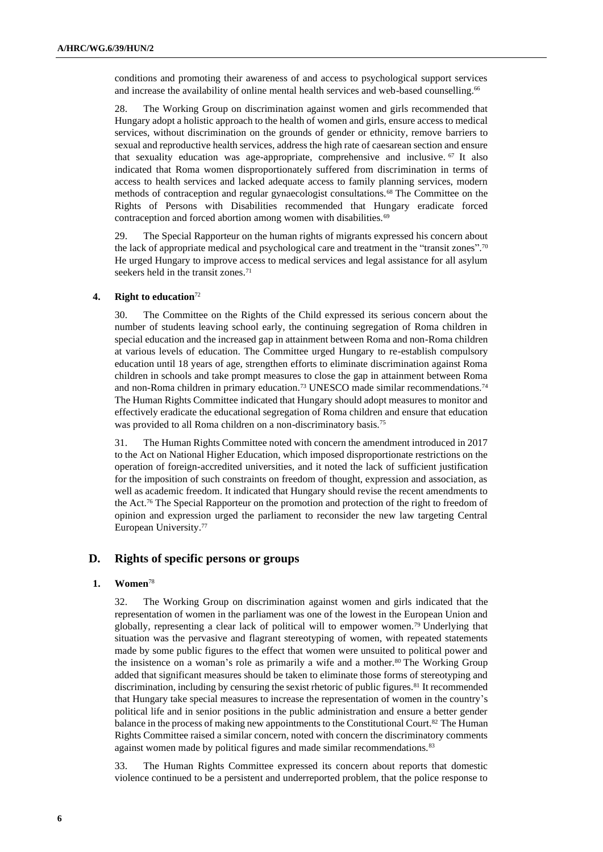conditions and promoting their awareness of and access to psychological support services and increase the availability of online mental health services and web-based counselling.<sup>66</sup>

28. The Working Group on discrimination against women and girls recommended that Hungary adopt a holistic approach to the health of women and girls, ensure access to medical services, without discrimination on the grounds of gender or ethnicity, remove barriers to sexual and reproductive health services, address the high rate of caesarean section and ensure that sexuality education was age-appropriate, comprehensive and inclusive. <sup>67</sup> It also indicated that Roma women disproportionately suffered from discrimination in terms of access to health services and lacked adequate access to family planning services, modern methods of contraception and regular gynaecologist consultations.<sup>68</sup> The Committee on the Rights of Persons with Disabilities recommended that Hungary eradicate forced contraception and forced abortion among women with disabilities.<sup>69</sup>

29. The Special Rapporteur on the human rights of migrants expressed his concern about the lack of appropriate medical and psychological care and treatment in the "transit zones".<sup>70</sup> He urged Hungary to improve access to medical services and legal assistance for all asylum seekers held in the transit zones.<sup>71</sup>

#### **4. Right to education**<sup>72</sup>

30. The Committee on the Rights of the Child expressed its serious concern about the number of students leaving school early, the continuing segregation of Roma children in special education and the increased gap in attainment between Roma and non-Roma children at various levels of education. The Committee urged Hungary to re-establish compulsory education until 18 years of age, strengthen efforts to eliminate discrimination against Roma children in schools and take prompt measures to close the gap in attainment between Roma and non-Roma children in primary education.<sup>73</sup> UNESCO made similar recommendations.<sup>74</sup> The Human Rights Committee indicated that Hungary should adopt measures to monitor and effectively eradicate the educational segregation of Roma children and ensure that education was provided to all Roma children on a non-discriminatory basis.<sup>75</sup>

31. The Human Rights Committee noted with concern the amendment introduced in 2017 to the Act on National Higher Education, which imposed disproportionate restrictions on the operation of foreign-accredited universities, and it noted the lack of sufficient justification for the imposition of such constraints on freedom of thought, expression and association, as well as academic freedom. It indicated that Hungary should revise the recent amendments to the Act.<sup>76</sup> The Special Rapporteur on the promotion and protection of the right to freedom of opinion and expression urged the parliament to reconsider the new law targeting Central European University.<sup>77</sup>

## **D. Rights of specific persons or groups**

#### **1. Women**<sup>78</sup>

32. The Working Group on discrimination against women and girls indicated that the representation of women in the parliament was one of the lowest in the European Union and globally, representing a clear lack of political will to empower women.<sup>79</sup> Underlying that situation was the pervasive and flagrant stereotyping of women, with repeated statements made by some public figures to the effect that women were unsuited to political power and the insistence on a woman's role as primarily a wife and a mother.<sup>80</sup> The Working Group added that significant measures should be taken to eliminate those forms of stereotyping and discrimination, including by censuring the sexist rhetoric of public figures.<sup>81</sup> It recommended that Hungary take special measures to increase the representation of women in the country's political life and in senior positions in the public administration and ensure a better gender balance in the process of making new appointments to the Constitutional Court.<sup>82</sup> The Human Rights Committee raised a similar concern, noted with concern the discriminatory comments against women made by political figures and made similar recommendations.<sup>83</sup>

33. The Human Rights Committee expressed its concern about reports that domestic violence continued to be a persistent and underreported problem, that the police response to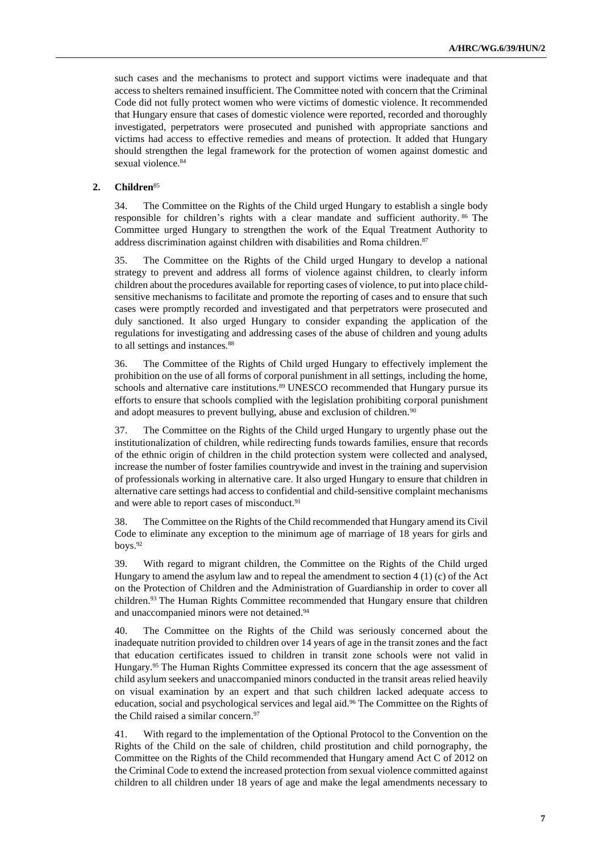such cases and the mechanisms to protect and support victims were inadequate and that access to shelters remained insufficient. The Committee noted with concern that the Criminal Code did not fully protect women who were victims of domestic violence. It recommended that Hungary ensure that cases of domestic violence were reported, recorded and thoroughly investigated, perpetrators were prosecuted and punished with appropriate sanctions and victims had access to effective remedies and means of protection. It added that Hungary should strengthen the legal framework for the protection of women against domestic and sexual violence.<sup>84</sup>

### **2. Children**<sup>85</sup>

34. The Committee on the Rights of the Child urged Hungary to establish a single body responsible for children's rights with a clear mandate and sufficient authority. <sup>86</sup> The Committee urged Hungary to strengthen the work of the Equal Treatment Authority to address discrimination against children with disabilities and Roma children.<sup>87</sup>

35. The Committee on the Rights of the Child urged Hungary to develop a national strategy to prevent and address all forms of violence against children, to clearly inform children about the procedures available for reporting cases of violence, to put into place childsensitive mechanisms to facilitate and promote the reporting of cases and to ensure that such cases were promptly recorded and investigated and that perpetrators were prosecuted and duly sanctioned. It also urged Hungary to consider expanding the application of the regulations for investigating and addressing cases of the abuse of children and young adults to all settings and instances.<sup>88</sup>

36. The Committee of the Rights of Child urged Hungary to effectively implement the prohibition on the use of all forms of corporal punishment in all settings, including the home, schools and alternative care institutions.<sup>89</sup> UNESCO recommended that Hungary pursue its efforts to ensure that schools complied with the legislation prohibiting corporal punishment and adopt measures to prevent bullying, abuse and exclusion of children.<sup>90</sup>

37. The Committee on the Rights of the Child urged Hungary to urgently phase out the institutionalization of children, while redirecting funds towards families, ensure that records of the ethnic origin of children in the child protection system were collected and analysed, increase the number of foster families countrywide and invest in the training and supervision of professionals working in alternative care. It also urged Hungary to ensure that children in alternative care settings had access to confidential and child-sensitive complaint mechanisms and were able to report cases of misconduct.<sup>91</sup>

38. The Committee on the Rights of the Child recommended that Hungary amend its Civil Code to eliminate any exception to the minimum age of marriage of 18 years for girls and boys.<sup>92</sup>

39. With regard to migrant children, the Committee on the Rights of the Child urged Hungary to amend the asylum law and to repeal the amendment to section  $4(1)(c)$  of the Act on the Protection of Children and the Administration of Guardianship in order to cover all children.<sup>93</sup> The Human Rights Committee recommended that Hungary ensure that children and unaccompanied minors were not detained.<sup>94</sup>

40. The Committee on the Rights of the Child was seriously concerned about the inadequate nutrition provided to children over 14 years of age in the transit zones and the fact that education certificates issued to children in transit zone schools were not valid in Hungary.<sup>95</sup> The Human Rights Committee expressed its concern that the age assessment of child asylum seekers and unaccompanied minors conducted in the transit areas relied heavily on visual examination by an expert and that such children lacked adequate access to education, social and psychological services and legal aid.<sup>96</sup> The Committee on the Rights of the Child raised a similar concern.<sup>97</sup>

41. With regard to the implementation of the Optional Protocol to the Convention on the Rights of the Child on the sale of children, child prostitution and child pornography, the Committee on the Rights of the Child recommended that Hungary amend Act C of 2012 on the Criminal Code to extend the increased protection from sexual violence committed against children to all children under 18 years of age and make the legal amendments necessary to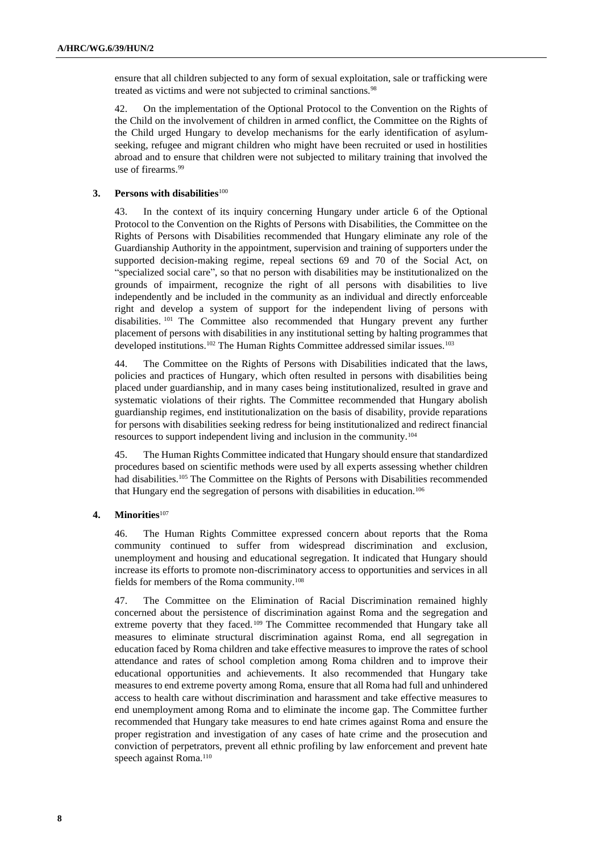ensure that all children subjected to any form of sexual exploitation, sale or trafficking were treated as victims and were not subjected to criminal sanctions.<sup>98</sup>

42. On the implementation of the Optional Protocol to the Convention on the Rights of the Child on the involvement of children in armed conflict, the Committee on the Rights of the Child urged Hungary to develop mechanisms for the early identification of asylumseeking, refugee and migrant children who might have been recruited or used in hostilities abroad and to ensure that children were not subjected to military training that involved the use of firearms.<sup>99</sup>

#### **3. Persons with disabilities**<sup>100</sup>

43. In the context of its inquiry concerning Hungary under article 6 of the Optional Protocol to the Convention on the Rights of Persons with Disabilities, the Committee on the Rights of Persons with Disabilities recommended that Hungary eliminate any role of the Guardianship Authority in the appointment, supervision and training of supporters under the supported decision-making regime, repeal sections 69 and 70 of the Social Act, on "specialized social care", so that no person with disabilities may be institutionalized on the grounds of impairment, recognize the right of all persons with disabilities to live independently and be included in the community as an individual and directly enforceable right and develop a system of support for the independent living of persons with disabilities. <sup>101</sup> The Committee also recommended that Hungary prevent any further placement of persons with disabilities in any institutional setting by halting programmes that developed institutions.<sup>102</sup> The Human Rights Committee addressed similar issues.<sup>103</sup>

44. The Committee on the Rights of Persons with Disabilities indicated that the laws, policies and practices of Hungary, which often resulted in persons with disabilities being placed under guardianship, and in many cases being institutionalized, resulted in grave and systematic violations of their rights. The Committee recommended that Hungary abolish guardianship regimes, end institutionalization on the basis of disability, provide reparations for persons with disabilities seeking redress for being institutionalized and redirect financial resources to support independent living and inclusion in the community.<sup>104</sup>

45. The Human Rights Committee indicated that Hungary should ensure that standardized procedures based on scientific methods were used by all experts assessing whether children had disabilities.<sup>105</sup> The Committee on the Rights of Persons with Disabilities recommended that Hungary end the segregation of persons with disabilities in education.<sup>106</sup>

#### **4. Minorities**<sup>107</sup>

46. The Human Rights Committee expressed concern about reports that the Roma community continued to suffer from widespread discrimination and exclusion, unemployment and housing and educational segregation. It indicated that Hungary should increase its efforts to promote non-discriminatory access to opportunities and services in all fields for members of the Roma community.<sup>108</sup>

47. The Committee on the Elimination of Racial Discrimination remained highly concerned about the persistence of discrimination against Roma and the segregation and extreme poverty that they faced.<sup>109</sup> The Committee recommended that Hungary take all measures to eliminate structural discrimination against Roma, end all segregation in education faced by Roma children and take effective measures to improve the rates of school attendance and rates of school completion among Roma children and to improve their educational opportunities and achievements. It also recommended that Hungary take measures to end extreme poverty among Roma, ensure that all Roma had full and unhindered access to health care without discrimination and harassment and take effective measures to end unemployment among Roma and to eliminate the income gap. The Committee further recommended that Hungary take measures to end hate crimes against Roma and ensure the proper registration and investigation of any cases of hate crime and the prosecution and conviction of perpetrators, prevent all ethnic profiling by law enforcement and prevent hate speech against Roma.<sup>110</sup>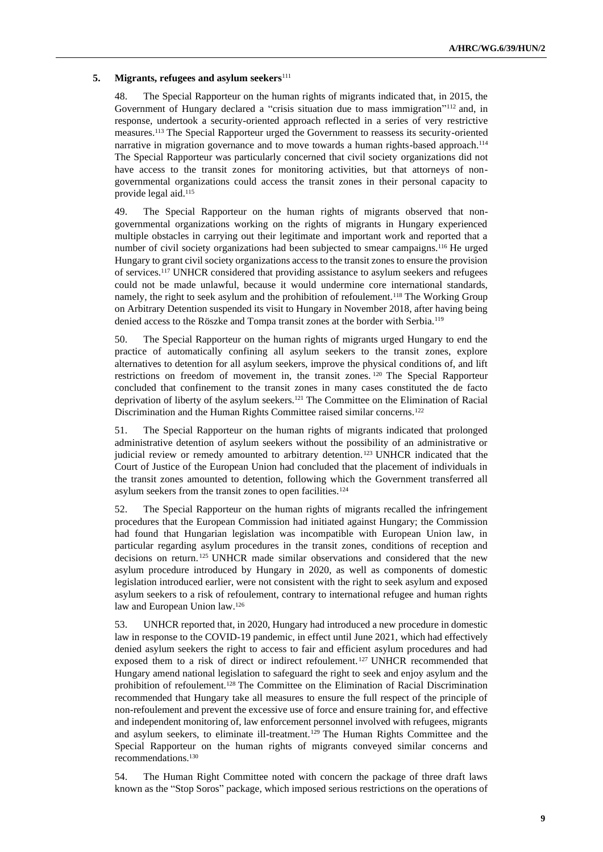#### **5. Migrants, refugees and asylum seekers**<sup>111</sup>

48. The Special Rapporteur on the human rights of migrants indicated that, in 2015, the Government of Hungary declared a "crisis situation due to mass immigration"<sup>112</sup> and, in response, undertook a security-oriented approach reflected in a series of very restrictive measures.<sup>113</sup> The Special Rapporteur urged the Government to reassess its security-oriented narrative in migration governance and to move towards a human rights-based approach.<sup>114</sup> The Special Rapporteur was particularly concerned that civil society organizations did not have access to the transit zones for monitoring activities, but that attorneys of nongovernmental organizations could access the transit zones in their personal capacity to provide legal aid.<sup>115</sup>

49. The Special Rapporteur on the human rights of migrants observed that nongovernmental organizations working on the rights of migrants in Hungary experienced multiple obstacles in carrying out their legitimate and important work and reported that a number of civil society organizations had been subjected to smear campaigns.<sup>116</sup> He urged Hungary to grant civil society organizations access to the transit zones to ensure the provision of services.<sup>117</sup> UNHCR considered that providing assistance to asylum seekers and refugees could not be made unlawful, because it would undermine core international standards, namely, the right to seek asylum and the prohibition of refoulement.<sup>118</sup> The Working Group on Arbitrary Detention suspended its visit to Hungary in November 2018, after having being denied access to the Röszke and Tompa transit zones at the border with Serbia.<sup>119</sup>

50. The Special Rapporteur on the human rights of migrants urged Hungary to end the practice of automatically confining all asylum seekers to the transit zones, explore alternatives to detention for all asylum seekers, improve the physical conditions of, and lift restrictions on freedom of movement in, the transit zones. <sup>120</sup> The Special Rapporteur concluded that confinement to the transit zones in many cases constituted the de facto deprivation of liberty of the asylum seekers.<sup>121</sup> The Committee on the Elimination of Racial Discrimination and the Human Rights Committee raised similar concerns.<sup>122</sup>

51. The Special Rapporteur on the human rights of migrants indicated that prolonged administrative detention of asylum seekers without the possibility of an administrative or judicial review or remedy amounted to arbitrary detention.<sup>123</sup> UNHCR indicated that the Court of Justice of the European Union had concluded that the placement of individuals in the transit zones amounted to detention, following which the Government transferred all asylum seekers from the transit zones to open facilities.<sup>124</sup>

52. The Special Rapporteur on the human rights of migrants recalled the infringement procedures that the European Commission had initiated against Hungary; the Commission had found that Hungarian legislation was incompatible with European Union law, in particular regarding asylum procedures in the transit zones, conditions of reception and decisions on return. <sup>125</sup> UNHCR made similar observations and considered that the new asylum procedure introduced by Hungary in 2020, as well as components of domestic legislation introduced earlier, were not consistent with the right to seek asylum and exposed asylum seekers to a risk of refoulement, contrary to international refugee and human rights law and European Union law.<sup>126</sup>

53. UNHCR reported that, in 2020, Hungary had introduced a new procedure in domestic law in response to the COVID-19 pandemic, in effect until June 2021, which had effectively denied asylum seekers the right to access to fair and efficient asylum procedures and had exposed them to a risk of direct or indirect refoulement. <sup>127</sup> UNHCR recommended that Hungary amend national legislation to safeguard the right to seek and enjoy asylum and the prohibition of refoulement.<sup>128</sup> The Committee on the Elimination of Racial Discrimination recommended that Hungary take all measures to ensure the full respect of the principle of non-refoulement and prevent the excessive use of force and ensure training for, and effective and independent monitoring of, law enforcement personnel involved with refugees, migrants and asylum seekers, to eliminate ill-treatment.<sup>129</sup> The Human Rights Committee and the Special Rapporteur on the human rights of migrants conveyed similar concerns and recommendations.<sup>130</sup>

54. The Human Right Committee noted with concern the package of three draft laws known as the "Stop Soros" package, which imposed serious restrictions on the operations of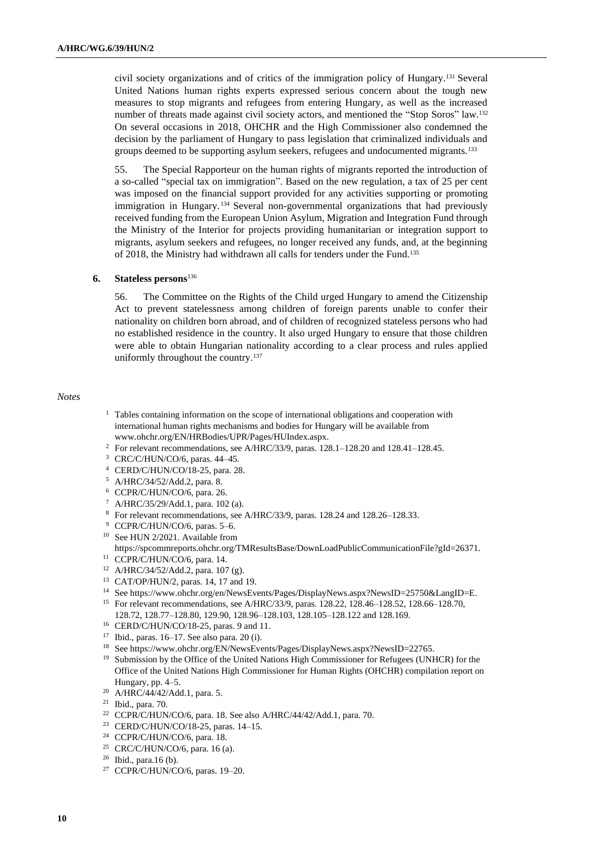civil society organizations and of critics of the immigration policy of Hungary.<sup>131</sup> Several United Nations human rights experts expressed serious concern about the tough new measures to stop migrants and refugees from entering Hungary, as well as the increased number of threats made against civil society actors, and mentioned the "Stop Soros" law.<sup>132</sup> On several occasions in 2018, OHCHR and the High Commissioner also condemned the decision by the parliament of Hungary to pass legislation that criminalized individuals and groups deemed to be supporting asylum seekers, refugees and undocumented migrants.<sup>133</sup>

55. The Special Rapporteur on the human rights of migrants reported the introduction of a so-called "special tax on immigration". Based on the new regulation, a tax of 25 per cent was imposed on the financial support provided for any activities supporting or promoting immigration in Hungary. <sup>134</sup> Several non-governmental organizations that had previously received funding from the European Union Asylum, Migration and Integration Fund through the Ministry of the Interior for projects providing humanitarian or integration support to migrants, asylum seekers and refugees, no longer received any funds, and, at the beginning of 2018, the Ministry had withdrawn all calls for tenders under the Fund.<sup>135</sup>

#### **6. Stateless persons**<sup>136</sup>

56. The Committee on the Rights of the Child urged Hungary to amend the Citizenship Act to prevent statelessness among children of foreign parents unable to confer their nationality on children born abroad, and of children of recognized stateless persons who had no established residence in the country. It also urged Hungary to ensure that those children were able to obtain Hungarian nationality according to a clear process and rules applied uniformly throughout the country.<sup>137</sup>

#### *Notes*

- <sup>1</sup> Tables containing information on the scope of international obligations and cooperation with international human rights mechanisms and bodies for Hungary will be available from [www.ohchr.org/EN/HRBodies/UPR/Pages/HUIndex.aspx.](https://www.ohchr.org/EN/HRBodies/UPR/Pages/HUIndex.aspx)
- <sup>2</sup> For relevant recommendations, see A/HRC/33/9, paras. 128.1–128.20 and 128.41–128.45.
- <sup>3</sup> CRC/C/HUN/CO/6, paras. 44–45.
- <sup>4</sup> CERD/C/HUN/CO/18-25, para. 28.
- <sup>5</sup> A/HRC/34/52/Add.2, para. 8.
- <sup>6</sup> CCPR/C/HUN/CO/6, para. 26.
- <sup>7</sup> A/HRC/35/29/Add.1, para. 102 (a).
- <sup>8</sup> For relevant recommendations, see A/HRC/33/9, paras. 128.24 and 128.26–128.33.
- <sup>9</sup> CCPR/C/HUN/CO/6, paras. 5–6.
- <sup>10</sup> See HUN 2/2021. Available from
- https://spcommreports.ohchr.org/TMResultsBase/DownLoadPublicCommunicationFile?gId=26371. <sup>11</sup> CCPR/C/HUN/CO/6, para. 14.
- <sup>12</sup> A/HRC/34/52/Add.2, para. 107 (g).
- <sup>13</sup> CAT/OP/HUN/2, paras. 14, 17 and 19.
- <sup>14</sup> Se[e https://www.ohchr.org/en/NewsEvents/Pages/DisplayNews.aspx?NewsID=25750&LangID=E.](https://www.ohchr.org/en/NewsEvents/Pages/DisplayNews.aspx?NewsID=25750&LangID=E)
- <sup>15</sup> For relevant recommendations, see A/HRC/33/9, paras. 128.22, 128.46–128.52, 128.66–128.70, 128.72, 128.77–128.80, 129.90, 128.96–128.103, 128.105–128.122 and 128.169.
- <sup>16</sup> CERD/C/HUN/CO/18-25, paras. 9 and 11.
- $17$  Ibid., paras.  $16-17$ . See also para. 20 (i).
- <sup>18</sup> See https://www.ohchr.org/EN/NewsEvents/Pages/DisplayNews.aspx?NewsID=22765.
- <sup>19</sup> Submission by the Office of the United Nations High Commissioner for Refugees (UNHCR) for the Office of the United Nations High Commissioner for Human Rights (OHCHR) compilation report on Hungary, pp. 4–5.
- <sup>20</sup> A/HRC/44/42/Add.1, para. 5.
- <sup>21</sup> Ibid., para. 70.
- <sup>22</sup> CCPR/C/HUN/CO/6, para. 18. See also A/HRC/44/42/Add.1, para. 70.
- <sup>23</sup> CERD/C/HUN/CO/18-25, paras. 14–15.
- <sup>24</sup> CCPR/C/HUN/CO/6, para. 18.
- <sup>25</sup> CRC/C/HUN/CO/6, para. 16 (a).
- <sup>26</sup> Ibid., para.16 (b).
- <sup>27</sup> CCPR/C/HUN/CO/6, paras. 19–20.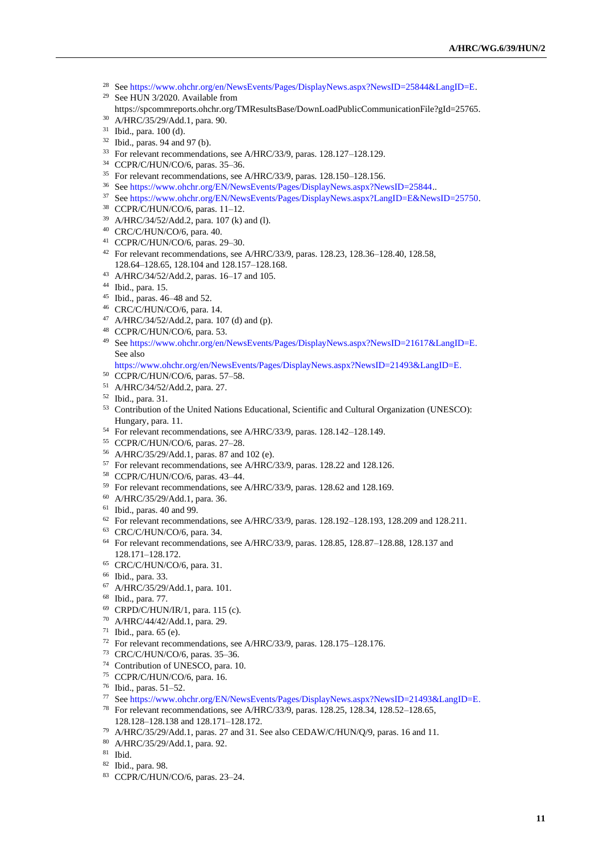- Se[e https://www.ohchr.org/en/NewsEvents/Pages/DisplayNews.aspx?NewsID=25844&LangID=E.](https://www.ohchr.org/en/NewsEvents/Pages/DisplayNews.aspx?NewsID=25844&LangID=E) See HUN 3/2020. Available from
- 
- https://spcommreports.ohchr.org/TMResultsBase/DownLoadPublicCommunicationFile?gId=25765.
- A/HRC/35/29/Add.1, para. 90.
- Ibid., para. 100 (d).
- Ibid., paras. 94 and 97 (b).
- For relevant recommendations, see A/HRC/33/9, paras. 128.127–128.129.
- CCPR/C/HUN/CO/6, paras. 35–36.
- For relevant recommendations, see A/HRC/33/9, paras. 128.150–128.156.
- Se[e https://www.ohchr.org/EN/NewsEvents/Pages/DisplayNews.aspx?NewsID=25844.](https://www.ohchr.org/EN/NewsEvents/Pages/DisplayNews.aspx?NewsID=25844).
- Se[e https://www.ohchr.org/EN/NewsEvents/Pages/DisplayNews.aspx?LangID=E&NewsID=25750.](https://www.ohchr.org/EN/NewsEvents/Pages/DisplayNews.aspx?LangID=E&NewsID=25750)
- CCPR/C/HUN/CO/6, paras. 11–12.
- A/HRC/34/52/Add.2, para. 107 (k) and (l).
- CRC/C/HUN/CO/6, para. 40.
- CCPR/C/HUN/CO/6, paras. 29–30.
- For relevant recommendations, see A/HRC/33/9, paras. 128.23, 128.36–128.40, 128.58, 128.64–128.65, 128.104 and 128.157–128.168.
- A/HRC/34/52/Add.2, paras. 16–17 and 105.
- Ibid., para. 15.
- Ibid., paras. 46–48 and 52.
- CRC/C/HUN/CO/6, para. 14.
- A/HRC/34/52/Add.2, para. 107 (d) and (p).
- CCPR/C/HUN/CO/6, para. 53.
- Se[e https://www.ohchr.org/en/NewsEvents/Pages/DisplayNews.aspx?NewsID=21617&LangID=E.](https://www.ohchr.org/en/NewsEvents/Pages/DisplayNews.aspx?NewsID=21617&LangID=E) See also
- [https://www.ohchr.org/en/NewsEvents/Pages/DisplayNews.aspx?NewsID=21493&LangID=E.](https://www.ohchr.org/en/NewsEvents/Pages/DisplayNews.aspx?NewsID=21493&LangID=E)
- CCPR/C/HUN/CO/6, paras. 57–58.
- A/HRC/34/52/Add.2, para. 27.
- Ibid., para. 31.
- Contribution of the United Nations Educational, Scientific and Cultural Organization (UNESCO): Hungary, para. 11.
- For relevant recommendations, see A/HRC/33/9, paras. 128.142–128.149.
- CCPR/C/HUN/CO/6, paras. 27–28.
- A/HRC/35/29/Add.1, paras. 87 and 102 (e).
- For relevant recommendations, see A/HRC/33/9, paras. 128.22 and 128.126.
- CCPR/C/HUN/CO/6, paras. 43–44.
- For relevant recommendations, see A/HRC/33/9, paras. 128.62 and 128.169.
- A/HRC/35/29/Add.1, para. 36.
- Ibid., paras. 40 and 99.
- For relevant recommendations, see A/HRC/33/9, paras. 128.192-128.193, 128.209 and 128.211.
- CRC/C/HUN/CO/6, para. 34.
- For relevant recommendations, see A/HRC/33/9, paras. 128.85, 128.87–128.88, 128.137 and 128.171–128.172.
- CRC/C/HUN/CO/6, para. 31.
- Ibid., para. 33.
- A/HRC/35/29/Add.1, para. 101.
- Ibid., para. 77.
- CRPD/C/HUN/IR/1, para. 115 (c).
- A/HRC/44/42/Add.1, para. 29.
- Ibid., para. 65 (e).
- For relevant recommendations, see A/HRC/33/9, paras. 128.175–128.176.
- CRC/C/HUN/CO/6, paras. 35–36.
- Contribution of UNESCO, para. 10.
- CCPR/C/HUN/CO/6, para. 16.
- Ibid., paras. 51–52.
- Se[e https://www.ohchr.org/EN/NewsEvents/Pages/DisplayNews.aspx?NewsID=21493&LangID=E.](https://www.ohchr.org/EN/NewsEvents/Pages/DisplayNews.aspx?NewsID=21493&LangID=E)
- For relevant recommendations, see A/HRC/33/9, paras. 128.25, 128.34, 128.52–128.65, 128.128–128.138 and 128.171–128.172.
- A/HRC/35/29/Add.1, paras. 27 and 31. See also CEDAW/C/HUN/Q/9, paras. 16 and 11.
- A/HRC/35/29/Add.1, para. 92.
- Ibid.
- Ibid., para. 98.
- CCPR/C/HUN/CO/6, paras. 23–24.